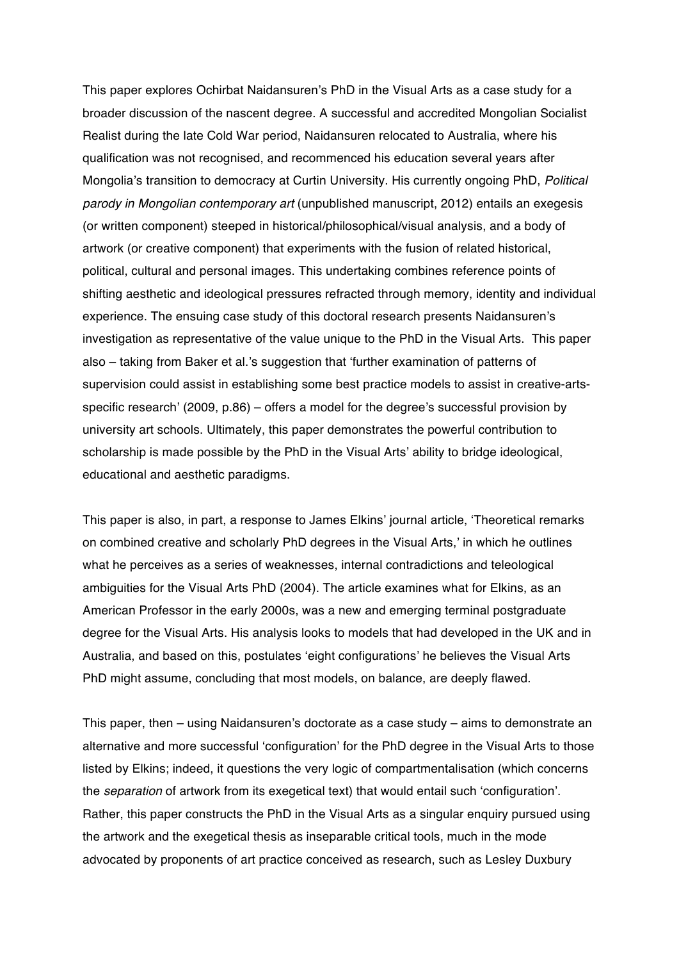This paper explores Ochirbat Naidansuren's PhD in the Visual Arts as a case study for a broader discussion of the nascent degree. A successful and accredited Mongolian Socialist Realist during the late Cold War period, Naidansuren relocated to Australia, where his qualification was not recognised, and recommenced his education several years after Mongolia's transition to democracy at Curtin University. His currently ongoing PhD, *Political parody in Mongolian contemporary art* (unpublished manuscript, 2012) entails an exegesis (or written component) steeped in historical/philosophical/visual analysis, and a body of artwork (or creative component) that experiments with the fusion of related historical, political, cultural and personal images. This undertaking combines reference points of shifting aesthetic and ideological pressures refracted through memory, identity and individual experience. The ensuing case study of this doctoral research presents Naidansuren's investigation as representative of the value unique to the PhD in the Visual Arts. This paper also – taking from Baker et al.'s suggestion that 'further examination of patterns of supervision could assist in establishing some best practice models to assist in creative-artsspecific research' (2009, p.86) – offers a model for the degree's successful provision by university art schools. Ultimately, this paper demonstrates the powerful contribution to scholarship is made possible by the PhD in the Visual Arts' ability to bridge ideological, educational and aesthetic paradigms.

This paper is also, in part, a response to James Elkins' journal article, 'Theoretical remarks on combined creative and scholarly PhD degrees in the Visual Arts,' in which he outlines what he perceives as a series of weaknesses, internal contradictions and teleological ambiguities for the Visual Arts PhD (2004). The article examines what for Elkins, as an American Professor in the early 2000s, was a new and emerging terminal postgraduate degree for the Visual Arts. His analysis looks to models that had developed in the UK and in Australia, and based on this, postulates 'eight configurations' he believes the Visual Arts PhD might assume, concluding that most models, on balance, are deeply flawed.

This paper, then – using Naidansuren's doctorate as a case study – aims to demonstrate an alternative and more successful 'configuration' for the PhD degree in the Visual Arts to those listed by Elkins; indeed, it questions the very logic of compartmentalisation (which concerns the *separation* of artwork from its exegetical text) that would entail such 'configuration'. Rather, this paper constructs the PhD in the Visual Arts as a singular enquiry pursued using the artwork and the exegetical thesis as inseparable critical tools, much in the mode advocated by proponents of art practice conceived as research, such as Lesley Duxbury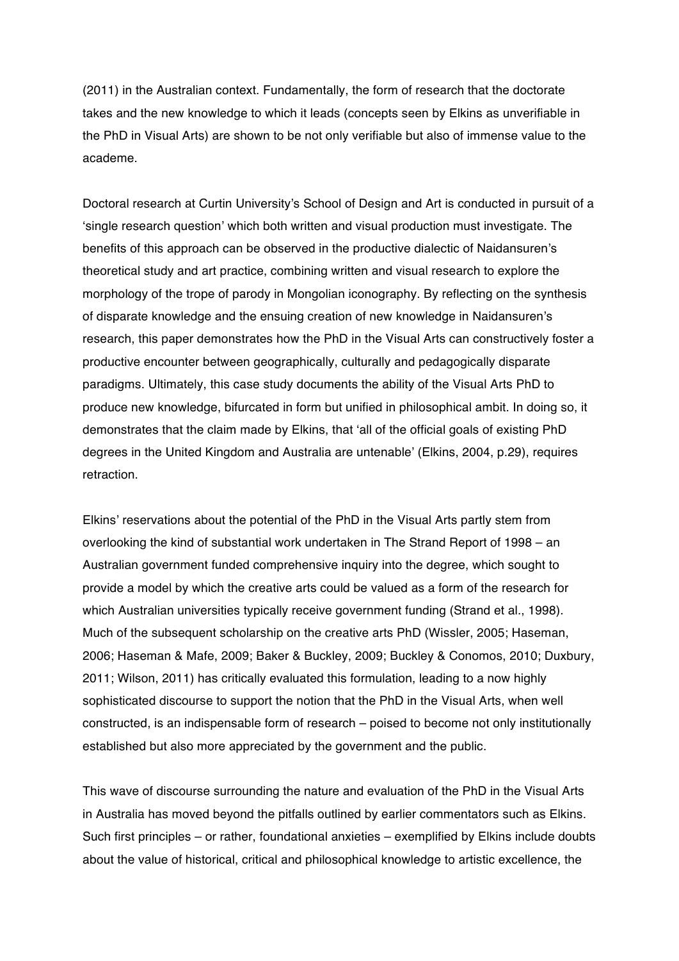(2011) in the Australian context. Fundamentally, the form of research that the doctorate takes and the new knowledge to which it leads (concepts seen by Elkins as unverifiable in the PhD in Visual Arts) are shown to be not only verifiable but also of immense value to the academe.

Doctoral research at Curtin University's School of Design and Art is conducted in pursuit of a 'single research question' which both written and visual production must investigate. The benefits of this approach can be observed in the productive dialectic of Naidansuren's theoretical study and art practice, combining written and visual research to explore the morphology of the trope of parody in Mongolian iconography. By reflecting on the synthesis of disparate knowledge and the ensuing creation of new knowledge in Naidansuren's research, this paper demonstrates how the PhD in the Visual Arts can constructively foster a productive encounter between geographically, culturally and pedagogically disparate paradigms. Ultimately, this case study documents the ability of the Visual Arts PhD to produce new knowledge, bifurcated in form but unified in philosophical ambit. In doing so, it demonstrates that the claim made by Elkins, that 'all of the official goals of existing PhD degrees in the United Kingdom and Australia are untenable' (Elkins, 2004, p.29), requires retraction.

Elkins' reservations about the potential of the PhD in the Visual Arts partly stem from overlooking the kind of substantial work undertaken in The Strand Report of 1998 – an Australian government funded comprehensive inquiry into the degree, which sought to provide a model by which the creative arts could be valued as a form of the research for which Australian universities typically receive government funding (Strand et al., 1998). Much of the subsequent scholarship on the creative arts PhD (Wissler, 2005; Haseman, 2006; Haseman & Mafe, 2009; Baker & Buckley, 2009; Buckley & Conomos, 2010; Duxbury, 2011; Wilson, 2011) has critically evaluated this formulation, leading to a now highly sophisticated discourse to support the notion that the PhD in the Visual Arts, when well constructed, is an indispensable form of research – poised to become not only institutionally established but also more appreciated by the government and the public.

This wave of discourse surrounding the nature and evaluation of the PhD in the Visual Arts in Australia has moved beyond the pitfalls outlined by earlier commentators such as Elkins. Such first principles – or rather, foundational anxieties – exemplified by Elkins include doubts about the value of historical, critical and philosophical knowledge to artistic excellence, the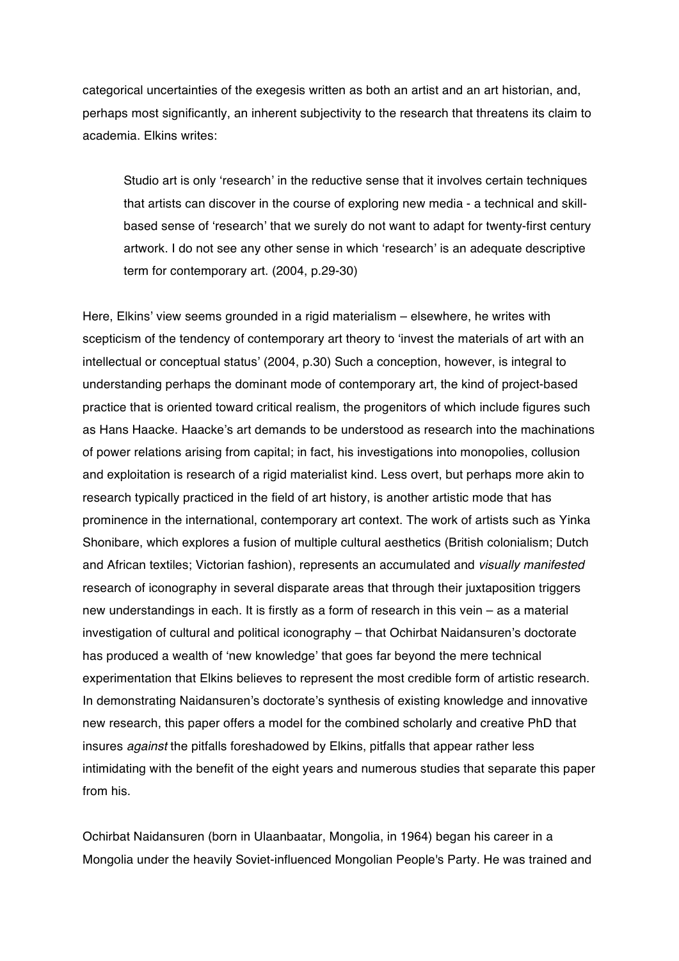categorical uncertainties of the exegesis written as both an artist and an art historian, and, perhaps most significantly, an inherent subjectivity to the research that threatens its claim to academia. Elkins writes:

Studio art is only 'research' in the reductive sense that it involves certain techniques that artists can discover in the course of exploring new media - a technical and skillbased sense of 'research' that we surely do not want to adapt for twenty-first century artwork. I do not see any other sense in which 'research' is an adequate descriptive term for contemporary art. (2004, p.29-30)

Here, Elkins' view seems grounded in a rigid materialism – elsewhere, he writes with scepticism of the tendency of contemporary art theory to 'invest the materials of art with an intellectual or conceptual status' (2004, p.30) Such a conception, however, is integral to understanding perhaps the dominant mode of contemporary art, the kind of project-based practice that is oriented toward critical realism, the progenitors of which include figures such as Hans Haacke. Haacke's art demands to be understood as research into the machinations of power relations arising from capital; in fact, his investigations into monopolies, collusion and exploitation is research of a rigid materialist kind. Less overt, but perhaps more akin to research typically practiced in the field of art history, is another artistic mode that has prominence in the international, contemporary art context. The work of artists such as Yinka Shonibare, which explores a fusion of multiple cultural aesthetics (British colonialism; Dutch and African textiles; Victorian fashion), represents an accumulated and *visually manifested* research of iconography in several disparate areas that through their juxtaposition triggers new understandings in each. It is firstly as a form of research in this vein – as a material investigation of cultural and political iconography – that Ochirbat Naidansuren's doctorate has produced a wealth of 'new knowledge' that goes far beyond the mere technical experimentation that Elkins believes to represent the most credible form of artistic research. In demonstrating Naidansuren's doctorate's synthesis of existing knowledge and innovative new research, this paper offers a model for the combined scholarly and creative PhD that insures *against* the pitfalls foreshadowed by Elkins, pitfalls that appear rather less intimidating with the benefit of the eight years and numerous studies that separate this paper from his.

Ochirbat Naidansuren (born in Ulaanbaatar, Mongolia, in 1964) began his career in a Mongolia under the heavily Soviet-influenced Mongolian People's Party. He was trained and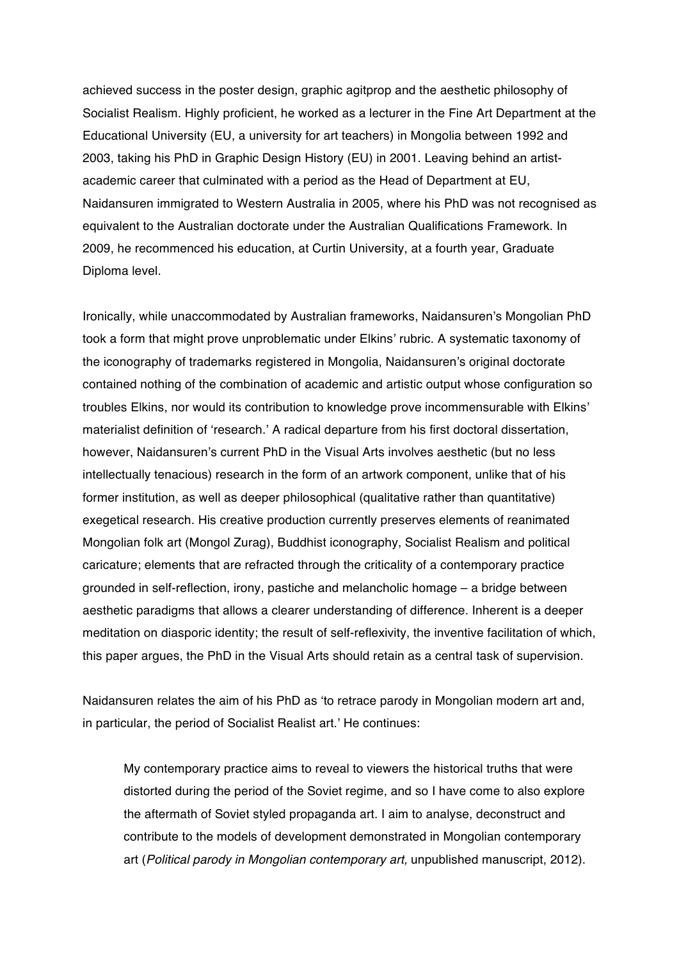achieved success in the poster design, graphic agitprop and the aesthetic philosophy of Socialist Realism. Highly proficient, he worked as a lecturer in the Fine Art Department at the Educational University (EU, a university for art teachers) in Mongolia between 1992 and 2003, taking his PhD in Graphic Design History (EU) in 2001. Leaving behind an artistacademic career that culminated with a period as the Head of Department at EU, Naidansuren immigrated to Western Australia in 2005, where his PhD was not recognised as equivalent to the Australian doctorate under the Australian Qualifications Framework. In 2009, he recommenced his education, at Curtin University, at a fourth year, Graduate Diploma level.

Ironically, while unaccommodated by Australian frameworks, Naidansuren's Mongolian PhD took a form that might prove unproblematic under Elkins' rubric. A systematic taxonomy of the iconography of trademarks registered in Mongolia, Naidansuren's original doctorate contained nothing of the combination of academic and artistic output whose configuration so troubles Elkins, nor would its contribution to knowledge prove incommensurable with Elkins' materialist definition of 'research.' A radical departure from his first doctoral dissertation, however, Naidansuren's current PhD in the Visual Arts involves aesthetic (but no less intellectually tenacious) research in the form of an artwork component, unlike that of his former institution, as well as deeper philosophical (qualitative rather than quantitative) exegetical research. His creative production currently preserves elements of reanimated Mongolian folk art (Mongol Zurag), Buddhist iconography, Socialist Realism and political caricature; elements that are refracted through the criticality of a contemporary practice grounded in self-reflection, irony, pastiche and melancholic homage – a bridge between aesthetic paradigms that allows a clearer understanding of difference. Inherent is a deeper meditation on diasporic identity; the result of self-reflexivity, the inventive facilitation of which, this paper argues, the PhD in the Visual Arts should retain as a central task of supervision.

Naidansuren relates the aim of his PhD as 'to retrace parody in Mongolian modern art and, in particular, the period of Socialist Realist art.' He continues:

My contemporary practice aims to reveal to viewers the historical truths that were distorted during the period of the Soviet regime, and so I have come to also explore the aftermath of Soviet styled propaganda art. I aim to analyse, deconstruct and contribute to the models of development demonstrated in Mongolian contemporary art (*Political parody in Mongolian contemporary art,* unpublished manuscript, 2012).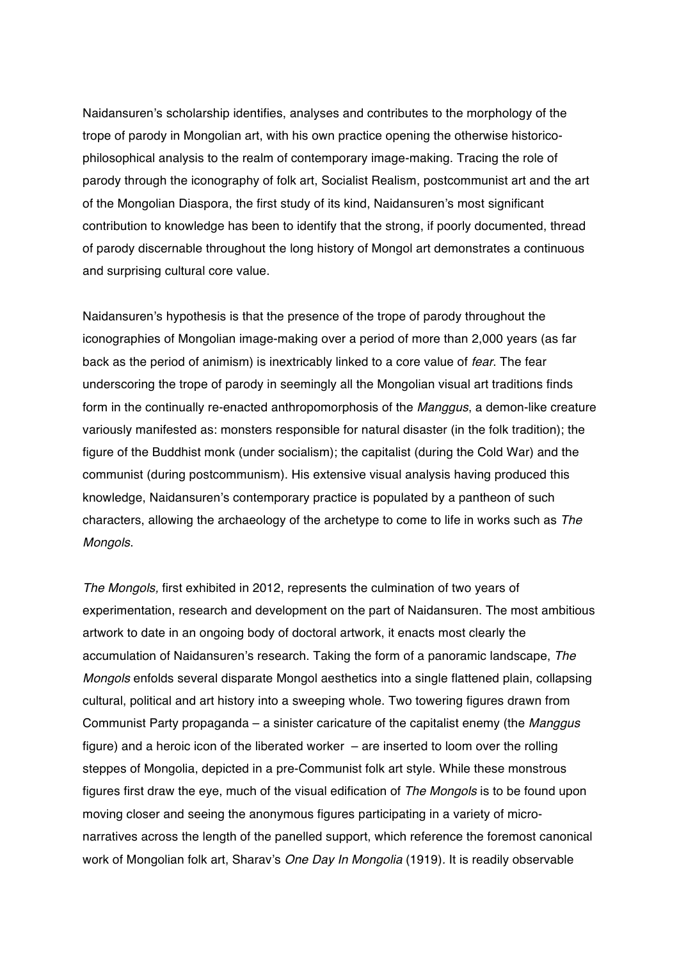Naidansuren's scholarship identifies, analyses and contributes to the morphology of the trope of parody in Mongolian art, with his own practice opening the otherwise historicophilosophical analysis to the realm of contemporary image-making. Tracing the role of parody through the iconography of folk art, Socialist Realism, postcommunist art and the art of the Mongolian Diaspora, the first study of its kind, Naidansuren's most significant contribution to knowledge has been to identify that the strong, if poorly documented, thread of parody discernable throughout the long history of Mongol art demonstrates a continuous and surprising cultural core value.

Naidansuren's hypothesis is that the presence of the trope of parody throughout the iconographies of Mongolian image-making over a period of more than 2,000 years (as far back as the period of animism) is inextricably linked to a core value of *fear*. The fear underscoring the trope of parody in seemingly all the Mongolian visual art traditions finds form in the continually re-enacted anthropomorphosis of the *Manggus*, a demon-like creature variously manifested as: monsters responsible for natural disaster (in the folk tradition); the figure of the Buddhist monk (under socialism); the capitalist (during the Cold War) and the communist (during postcommunism). His extensive visual analysis having produced this knowledge, Naidansuren's contemporary practice is populated by a pantheon of such characters, allowing the archaeology of the archetype to come to life in works such as *The Mongols*.

*The Mongols,* first exhibited in 2012, represents the culmination of two years of experimentation, research and development on the part of Naidansuren. The most ambitious artwork to date in an ongoing body of doctoral artwork, it enacts most clearly the accumulation of Naidansuren's research. Taking the form of a panoramic landscape, *The Mongols* enfolds several disparate Mongol aesthetics into a single flattened plain, collapsing cultural, political and art history into a sweeping whole. Two towering figures drawn from Communist Party propaganda – a sinister caricature of the capitalist enemy (the *Manggus* figure) and a heroic icon of the liberated worker – are inserted to loom over the rolling steppes of Mongolia, depicted in a pre-Communist folk art style. While these monstrous figures first draw the eye, much of the visual edification of *The Mongols* is to be found upon moving closer and seeing the anonymous figures participating in a variety of micronarratives across the length of the panelled support, which reference the foremost canonical work of Mongolian folk art, Sharav's *One Day In Mongolia* (1919)*.* It is readily observable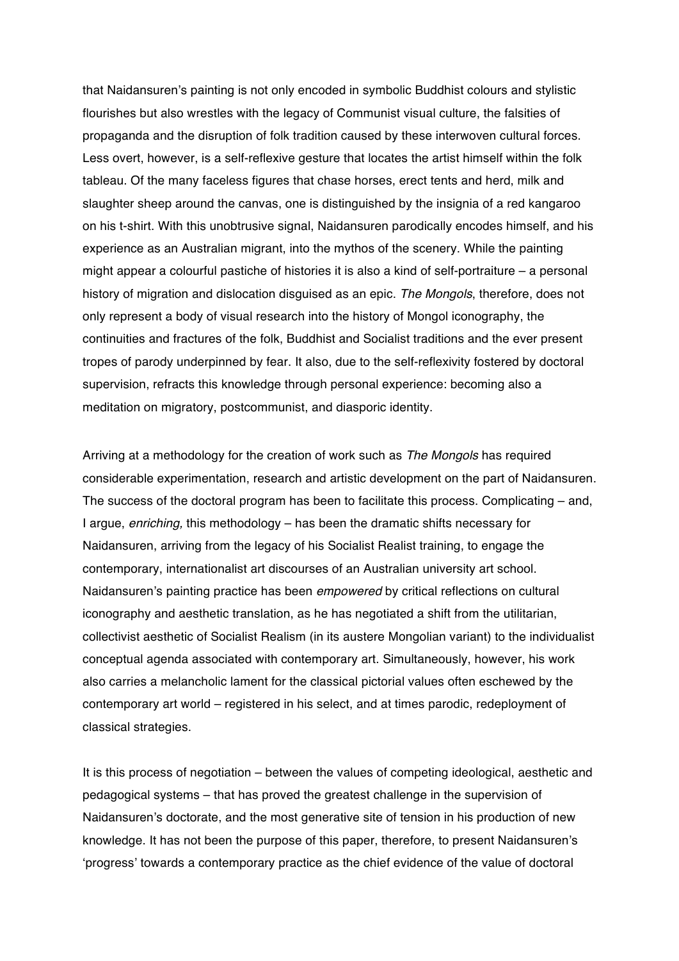that Naidansuren's painting is not only encoded in symbolic Buddhist colours and stylistic flourishes but also wrestles with the legacy of Communist visual culture, the falsities of propaganda and the disruption of folk tradition caused by these interwoven cultural forces. Less overt, however, is a self-reflexive gesture that locates the artist himself within the folk tableau. Of the many faceless figures that chase horses, erect tents and herd, milk and slaughter sheep around the canvas, one is distinguished by the insignia of a red kangaroo on his t-shirt. With this unobtrusive signal, Naidansuren parodically encodes himself, and his experience as an Australian migrant, into the mythos of the scenery. While the painting might appear a colourful pastiche of histories it is also a kind of self-portraiture – a personal history of migration and dislocation disguised as an epic. *The Mongols*, therefore, does not only represent a body of visual research into the history of Mongol iconography, the continuities and fractures of the folk, Buddhist and Socialist traditions and the ever present tropes of parody underpinned by fear. It also, due to the self-reflexivity fostered by doctoral supervision, refracts this knowledge through personal experience: becoming also a meditation on migratory, postcommunist, and diasporic identity.

Arriving at a methodology for the creation of work such as *The Mongols* has required considerable experimentation, research and artistic development on the part of Naidansuren. The success of the doctoral program has been to facilitate this process. Complicating – and, I argue, *enriching,* this methodology – has been the dramatic shifts necessary for Naidansuren, arriving from the legacy of his Socialist Realist training, to engage the contemporary, internationalist art discourses of an Australian university art school. Naidansuren's painting practice has been *empowered* by critical reflections on cultural iconography and aesthetic translation, as he has negotiated a shift from the utilitarian, collectivist aesthetic of Socialist Realism (in its austere Mongolian variant) to the individualist conceptual agenda associated with contemporary art. Simultaneously, however, his work also carries a melancholic lament for the classical pictorial values often eschewed by the contemporary art world – registered in his select, and at times parodic, redeployment of classical strategies.

It is this process of negotiation – between the values of competing ideological, aesthetic and pedagogical systems – that has proved the greatest challenge in the supervision of Naidansuren's doctorate, and the most generative site of tension in his production of new knowledge. It has not been the purpose of this paper, therefore, to present Naidansuren's 'progress' towards a contemporary practice as the chief evidence of the value of doctoral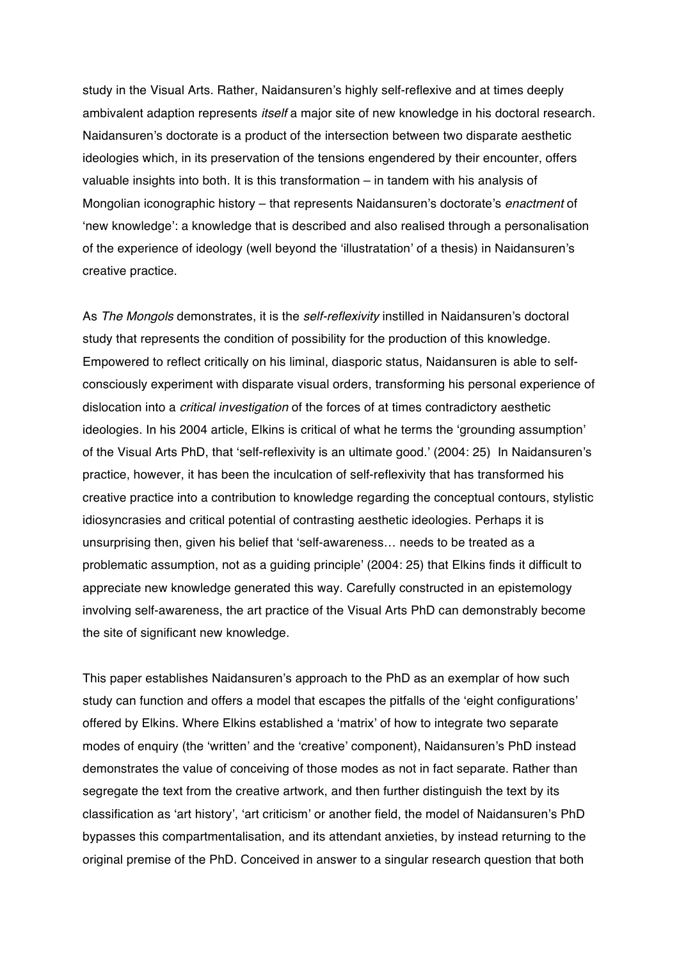study in the Visual Arts. Rather, Naidansuren's highly self-reflexive and at times deeply ambivalent adaption represents *itself* a major site of new knowledge in his doctoral research. Naidansuren's doctorate is a product of the intersection between two disparate aesthetic ideologies which, in its preservation of the tensions engendered by their encounter, offers valuable insights into both. It is this transformation – in tandem with his analysis of Mongolian iconographic history – that represents Naidansuren's doctorate's *enactment* of 'new knowledge': a knowledge that is described and also realised through a personalisation of the experience of ideology (well beyond the 'illustratation' of a thesis) in Naidansuren's creative practice.

As *The Mongols* demonstrates, it is the *self-reflexivity* instilled in Naidansuren's doctoral study that represents the condition of possibility for the production of this knowledge. Empowered to reflect critically on his liminal, diasporic status, Naidansuren is able to selfconsciously experiment with disparate visual orders, transforming his personal experience of dislocation into a *critical investigation* of the forces of at times contradictory aesthetic ideologies. In his 2004 article, Elkins is critical of what he terms the 'grounding assumption' of the Visual Arts PhD, that 'self-reflexivity is an ultimate good.' (2004: 25) In Naidansuren's practice, however, it has been the inculcation of self-reflexivity that has transformed his creative practice into a contribution to knowledge regarding the conceptual contours, stylistic idiosyncrasies and critical potential of contrasting aesthetic ideologies. Perhaps it is unsurprising then, given his belief that 'self-awareness… needs to be treated as a problematic assumption, not as a guiding principle' (2004: 25) that Elkins finds it difficult to appreciate new knowledge generated this way. Carefully constructed in an epistemology involving self-awareness, the art practice of the Visual Arts PhD can demonstrably become the site of significant new knowledge.

This paper establishes Naidansuren's approach to the PhD as an exemplar of how such study can function and offers a model that escapes the pitfalls of the 'eight configurations' offered by Elkins. Where Elkins established a 'matrix' of how to integrate two separate modes of enquiry (the 'written' and the 'creative' component), Naidansuren's PhD instead demonstrates the value of conceiving of those modes as not in fact separate. Rather than segregate the text from the creative artwork, and then further distinguish the text by its classification as 'art history', 'art criticism' or another field, the model of Naidansuren's PhD bypasses this compartmentalisation, and its attendant anxieties, by instead returning to the original premise of the PhD. Conceived in answer to a singular research question that both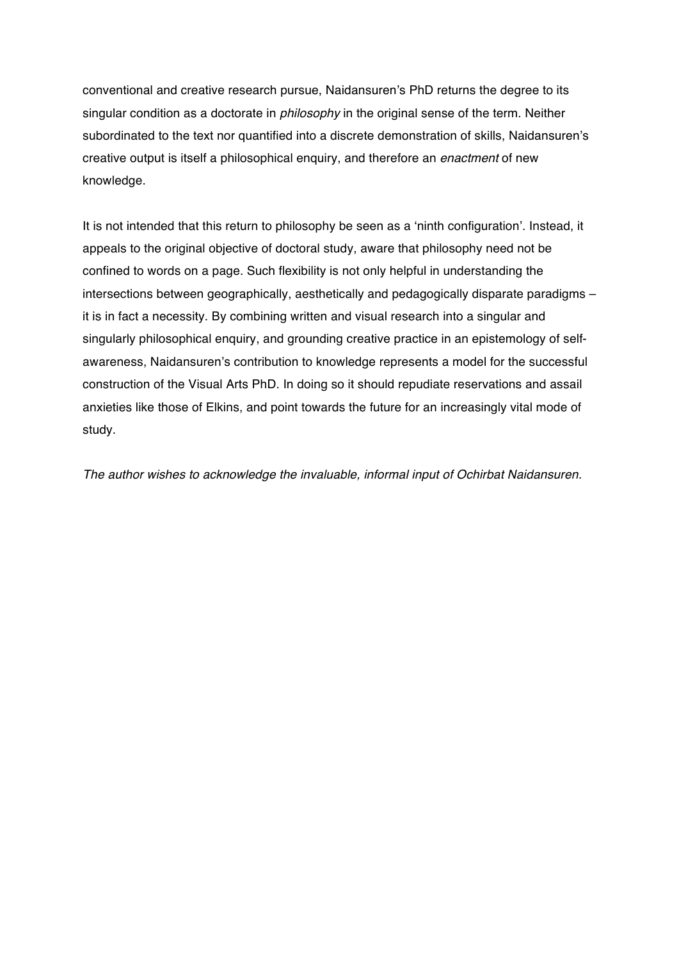conventional and creative research pursue, Naidansuren's PhD returns the degree to its singular condition as a doctorate in *philosophy* in the original sense of the term. Neither subordinated to the text nor quantified into a discrete demonstration of skills, Naidansuren's creative output is itself a philosophical enquiry, and therefore an *enactment* of new knowledge.

It is not intended that this return to philosophy be seen as a 'ninth configuration'. Instead, it appeals to the original objective of doctoral study, aware that philosophy need not be confined to words on a page. Such flexibility is not only helpful in understanding the intersections between geographically, aesthetically and pedagogically disparate paradigms – it is in fact a necessity. By combining written and visual research into a singular and singularly philosophical enquiry, and grounding creative practice in an epistemology of selfawareness, Naidansuren's contribution to knowledge represents a model for the successful construction of the Visual Arts PhD. In doing so it should repudiate reservations and assail anxieties like those of Elkins, and point towards the future for an increasingly vital mode of study.

*The author wishes to acknowledge the invaluable, informal input of Ochirbat Naidansuren.*